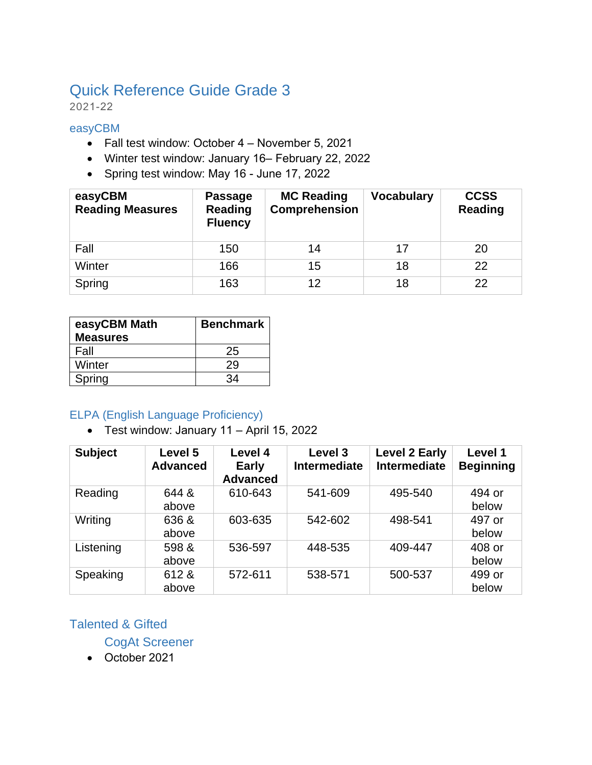# Quick Reference Guide Grade 3

2021-22

#### easyCBM

- Fall test window: October 4 November 5, 2021
- Winter test window: January 16– February 22, 2022
- Spring test window: May 16 June 17, 2022

| easyCBM<br><b>Reading Measures</b> | <b>Passage</b><br>Reading<br><b>Fluency</b> | <b>MC Reading</b><br>Comprehension | <b>Vocabulary</b> | <b>CCSS</b><br><b>Reading</b> |
|------------------------------------|---------------------------------------------|------------------------------------|-------------------|-------------------------------|
| Fall                               | 150                                         | 14                                 | 17                | 20                            |
| Winter                             | 166                                         | 15                                 | 18                | 22                            |
| Spring                             | 163                                         | 12                                 | 18                | 22                            |

| easyCBM Math<br><b>Measures</b> | Benchmark |
|---------------------------------|-----------|
| Fall                            | 25        |
| Winter                          | 29        |
| Spring                          | 34        |

#### ELPA (English Language Proficiency)

• Test window: January 11 – April 15, 2022

| <b>Subject</b> | Level 5<br><b>Advanced</b> | Level 4<br><b>Early</b><br><b>Advanced</b> | <b>Level 3</b><br><b>Intermediate</b> | <b>Level 2 Early</b><br><b>Intermediate</b> | Level 1<br><b>Beginning</b> |
|----------------|----------------------------|--------------------------------------------|---------------------------------------|---------------------------------------------|-----------------------------|
| Reading        | 644 &<br>above             | 610-643                                    | 541-609                               | 495-540                                     | 494 or<br>below             |
| Writing        | 636 &<br>above             | 603-635                                    | 542-602                               | 498-541                                     | 497 or<br>below             |
| Listening      | 598 &<br>above             | 536-597                                    | 448-535                               | 409-447                                     | 408 or<br>below             |
| Speaking       | 612 &<br>above             | 572-611                                    | 538-571                               | 500-537                                     | 499 or<br>below             |

### Talented & Gifted

CogAt Screener

• October 2021